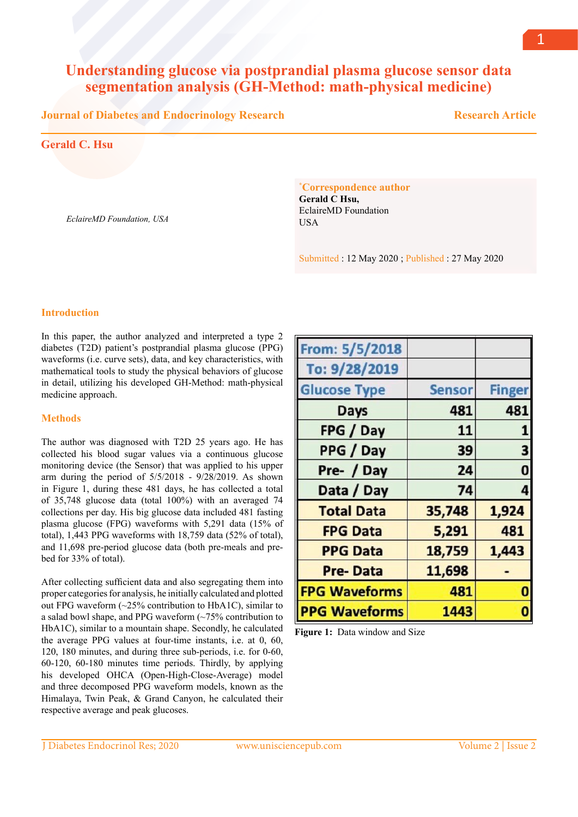# **Understanding glucose via postprandial plasma glucose sensor data segmentation analysis (GH-Method: math-physical medicine)**

**Journal of Diabetes and Endocrinology Research**

 **Research Article**

## **Gerald C. Hsu**

*EclaireMD Foundation, USA*

**\* Correspondence author**

**Gerald C Hsu,**  EclaireMD Foundation **I**ISA

Submitted : 12 May 2020 ; Published : 27 May 2020

### **Introduction**

In this paper, the author analyzed and interpreted a type 2 diabetes (T2D) patient's postprandial plasma glucose (PPG) waveforms (i.e. curve sets), data, and key characteristics, with mathematical tools to study the physical behaviors of glucose in detail, utilizing his developed GH-Method: math-physical medicine approach.

### **Methods**

The author was diagnosed with T2D 25 years ago. He has collected his blood sugar values via a continuous glucose monitoring device (the Sensor) that was applied to his upper arm during the period of 5/5/2018 - 9/28/2019. As shown in Figure 1, during these 481 days, he has collected a total of 35,748 glucose data (total 100%) with an averaged 74 collections per day. His big glucose data included 481 fasting plasma glucose (FPG) waveforms with 5,291 data (15% of total), 1,443 PPG waveforms with 18,759 data (52% of total), and 11,698 pre-period glucose data (both pre-meals and prebed for 33% of total).

After collecting sufficient data and also segregating them into proper categories for analysis, he initially calculated and plotted out FPG waveform (~25% contribution to HbA1C), similar to a salad bowl shape, and PPG waveform (~75% contribution to HbA1C), similar to a mountain shape. Secondly, he calculated the average PPG values at four-time instants, i.e. at 0, 60, 120, 180 minutes, and during three sub-periods, i.e. for 0-60, 60-120, 60-180 minutes time periods. Thirdly, by applying his developed OHCA (Open-High-Close-Average) model and three decomposed PPG waveform models, known as the Himalaya, Twin Peak, & Grand Canyon, he calculated their respective average and peak glucoses.

| From: 5/5/2018       |               |               |
|----------------------|---------------|---------------|
|                      |               |               |
| To: 9/28/2019        |               |               |
| <b>Glucose Type</b>  | <b>Sensor</b> | <b>Finger</b> |
| <b>Days</b>          | 481           | 481           |
| FPG / Day            | 11            |               |
| PPG / Day            | 39            | 3             |
| Pre- / Day           | 24            | Ō             |
| Data / Day           | 74            | 4             |
| <b>Total Data</b>    | 35,748        | 1,924         |
| <b>FPG Data</b>      | 5,291         | 481           |
| <b>PPG Data</b>      | 18,759        | 1,443         |
| <b>Pre-Data</b>      | 11,698        |               |
| <b>FPG Waveforms</b> | 481           |               |
| <b>PPG Waveforms</b> | 1443          |               |

**Figure 1:** Data window and Size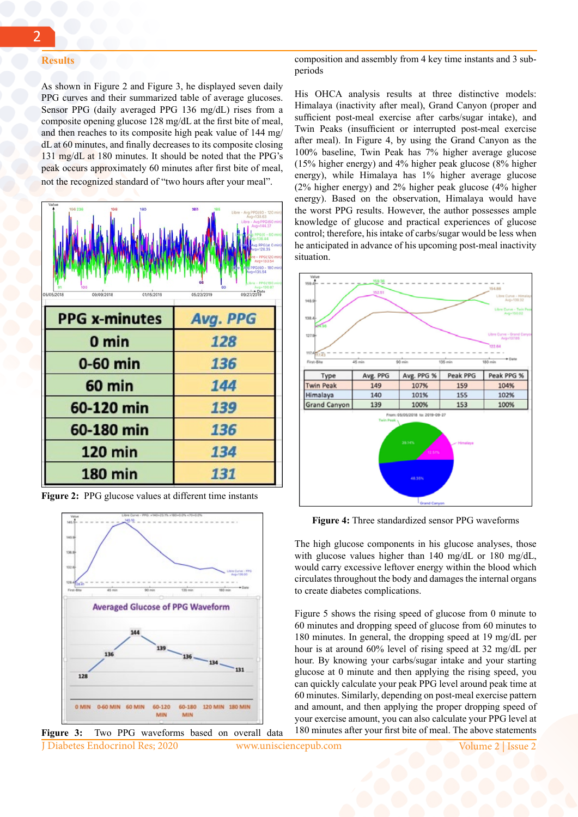#### **Results**

composition and assembly from 4 key time instants and 3 subperiods

As shown in Figure 2 and Figure 3, he displayed seven daily PPG curves and their summarized table of average glucoses. Sensor PPG (daily averaged PPG 136 mg/dL) rises from a composite opening glucose 128 mg/dL at the first bite of meal, and then reaches to its composite high peak value of 144 mg/ dL at 60 minutes, and finally decreases to its composite closing 131 mg/dL at 180 minutes. It should be noted that the PPG's peak occurs approximately 60 minutes after first bite of meal, not the recognized standard of "two hours after your meal".



**Figure 2:** PPG glucose values at different time instants



J Diabetes Endocrinol Res; 2020 www.unisciencepub.com Volume 2 | Issue 2 **Figure 3:** Two PPG waveforms based on overall data

His OHCA analysis results at three distinctive models: Himalaya (inactivity after meal), Grand Canyon (proper and sufficient post-meal exercise after carbs/sugar intake), and Twin Peaks (insufficient or interrupted post-meal exercise after meal). In Figure 4, by using the Grand Canyon as the 100% baseline, Twin Peak has 7% higher average glucose (15% higher energy) and 4% higher peak glucose (8% higher energy), while Himalaya has 1% higher average glucose (2% higher energy) and 2% higher peak glucose (4% higher energy). Based on the observation, Himalaya would have the worst PPG results. However, the author possesses ample knowledge of glucose and practical experiences of glucose control; therefore, his intake of carbs/sugar would be less when he anticipated in advance of his upcoming post-meal inactivity situation.



**Figure 4:** Three standardized sensor PPG waveforms

The high glucose components in his glucose analyses, those with glucose values higher than 140 mg/dL or 180 mg/dL, would carry excessive leftover energy within the blood which circulates throughout the body and damages the internal organs to create diabetes complications.

Figure 5 shows the rising speed of glucose from 0 minute to 60 minutes and dropping speed of glucose from 60 minutes to 180 minutes. In general, the dropping speed at 19 mg/dL per hour is at around 60% level of rising speed at 32 mg/dL per hour. By knowing your carbs/sugar intake and your starting glucose at 0 minute and then applying the rising speed, you can quickly calculate your peak PPG level around peak time at 60 minutes. Similarly, depending on post-meal exercise pattern and amount, and then applying the proper dropping speed of your exercise amount, you can also calculate your PPG level at 180 minutes after your first bite of meal. The above statements